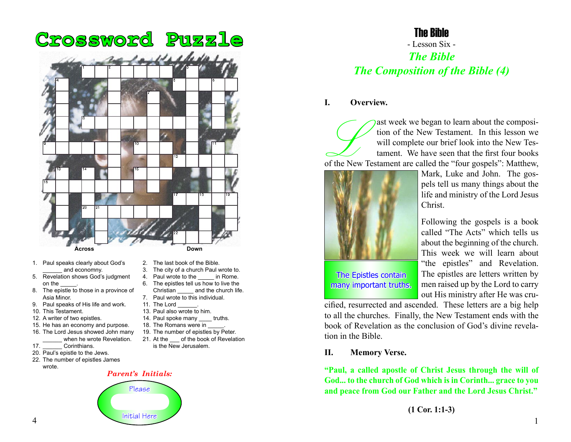

- 1. Paul speaks clearly about God's and economny.
- 5. Revelation shows God's judgment on the
- 8. The epistle to those in a province of Asia Minor.
- 9. Paul speaks of His life and work.
- 10. This Testament.
- 12. A writer of two epistles.
- 15. He has an economy and purpose.
- 16. The Lord Jesus showed John many when he wrote Revelation.
- 17. **Corinthians.**
- 20. Paul's epistle to the Jews.
- 22. The number of epistles James wrote.

- 2. The last book of the Bible.
- 3. The city of a church Paul wrote to.
- 4. Paul wrote to the in Rome.
- 6. The epistles tell us how to live the Christian and the church life. 7. Paul wrote to this individual.
- 11. The Lord
- 13. Paul also wrote to him.
- 14. Paul spoke many truths.
- 18. The Romans were in
- 
- 19. The number of epistles by Peter. 21. At the of the book of Revelation
- is the New Jerusalem.

#### *Parent's Initials:*



## The Bible

# - Lesson Six - *The Bible The Composition of the Bible (4)*

#### **I. Overview.**

ast week we began to learn about the composition of the New Testament. In this lesson we will complete our brief look into the New Testament. We have seen that the first four books of the New Testament are called the "four tion of the New Testament. In this lesson we will complete our brief look into the New Testament. We have seen that the first four books



Mark, Luke and John. The gospels tell us many things about the life and ministry of the Lord Jesus Christ.

Following the gospels is a book called "The Acts" which tells us about the beginning of the church. This week we will learn about "the epistles" and Revelation. The epistles are letters written by men raised up by the Lord to carry out His ministry after He was cru-

The Epistles contain many important truths.

cified, resurrected and ascended. These letters are a big help to all the churches. Finally, the New Testament ends with the book of Revelation as the conclusion of God's divine revelation in the Bible.

#### **II. Memory Verse.**

**"Paul, a called apostle of Christ Jesus through the will of God... to the church of God which is in Corinth... grace to you and peace from God our Father and the Lord Jesus Christ."**

**<sup>(1</sup> Cor. 1:1-3)**